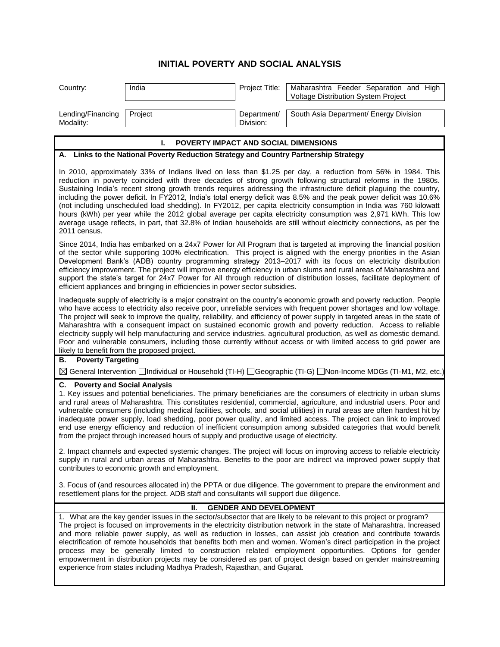## **INITIAL POVERTY AND SOCIAL ANALYSIS**

| Country:                                                                                                                                                                                                                                                                                                                                                                                                                                                                                                                                                                                                                                                                                                                                                                                                                                                   | India   | Project Title:           | Maharashtra Feeder Separation and High<br>Voltage Distribution System Project |
|------------------------------------------------------------------------------------------------------------------------------------------------------------------------------------------------------------------------------------------------------------------------------------------------------------------------------------------------------------------------------------------------------------------------------------------------------------------------------------------------------------------------------------------------------------------------------------------------------------------------------------------------------------------------------------------------------------------------------------------------------------------------------------------------------------------------------------------------------------|---------|--------------------------|-------------------------------------------------------------------------------|
| Lending/Financing<br>Modality:                                                                                                                                                                                                                                                                                                                                                                                                                                                                                                                                                                                                                                                                                                                                                                                                                             | Project | Department/<br>Division: | South Asia Department/ Energy Division                                        |
| POVERTY IMPACT AND SOCIAL DIMENSIONS<br>L.                                                                                                                                                                                                                                                                                                                                                                                                                                                                                                                                                                                                                                                                                                                                                                                                                 |         |                          |                                                                               |
| A. Links to the National Poverty Reduction Strategy and Country Partnership Strategy                                                                                                                                                                                                                                                                                                                                                                                                                                                                                                                                                                                                                                                                                                                                                                       |         |                          |                                                                               |
| In 2010, approximately 33% of Indians lived on less than \$1.25 per day, a reduction from 56% in 1984. This<br>reduction in poverty coincided with three decades of strong growth following structural reforms in the 1980s.<br>Sustaining India's recent strong growth trends requires addressing the infrastructure deficit plaguing the country,<br>including the power deficit. In FY2012, India's total energy deficit was 8.5% and the peak power deficit was 10.6%<br>(not including unscheduled load shedding). In FY2012, per capita electricity consumption in India was 760 kilowatt<br>hours (kWh) per year while the 2012 global average per capita electricity consumption was 2,971 kWh. This low<br>average usage reflects, in part, that 32.8% of Indian households are still without electricity connections, as per the<br>2011 census. |         |                          |                                                                               |
| Since 2014, India has embarked on a 24x7 Power for All Program that is targeted at improving the financial position<br>of the sector while supporting 100% electrification. This project is aligned with the energy priorities in the Asian<br>Development Bank's (ADB) country programming strategy 2013-2017 with its focus on electricity distribution<br>efficiency improvement. The project will improve energy efficiency in urban slums and rural areas of Maharashtra and<br>support the state's target for 24x7 Power for All through reduction of distribution losses, facilitate deployment of<br>efficient appliances and bringing in efficiencies in power sector subsidies.                                                                                                                                                                  |         |                          |                                                                               |
| Inadequate supply of electricity is a major constraint on the country's economic growth and poverty reduction. People<br>who have access to electricity also receive poor, unreliable services with frequent power shortages and low voltage.<br>The project will seek to improve the quality, reliability, and efficiency of power supply in targeted areas in the state of<br>Maharashtra with a consequent impact on sustained economic growth and poverty reduction. Access to reliable<br>electricity supply will help manufacturing and service industries. agricultural production, as well as domestic demand.<br>Poor and vulnerable consumers, including those currently without access or with limited access to grid power are<br>likely to benefit from the proposed project.                                                                 |         |                          |                                                                               |
| <b>Poverty Targeting</b><br>В.                                                                                                                                                                                                                                                                                                                                                                                                                                                                                                                                                                                                                                                                                                                                                                                                                             |         |                          |                                                                               |
| ⊠ General Intervention <b>Dindividual or Household (TI-H)</b> DGeographic (TI-G) DNon-Income MDGs (TI-M1, M2, etc.)                                                                                                                                                                                                                                                                                                                                                                                                                                                                                                                                                                                                                                                                                                                                        |         |                          |                                                                               |
| <b>C.</b> Poverty and Social Analysis<br>1. Key issues and potential beneficiaries. The primary beneficiaries are the consumers of electricity in urban slums<br>and rural areas of Maharashtra. This constitutes residential, commercial, agriculture, and industrial users. Poor and<br>vulnerable consumers (including medical facilities, schools, and social utilities) in rural areas are often hardest hit by<br>inadequate power supply, load shedding, poor power quality, and limited access. The project can link to improved<br>end use energy efficiency and reduction of inefficient consumption among subsided categories that would benefit<br>from the project through increased hours of supply and productive usage of electricity.                                                                                                     |         |                          |                                                                               |
| 2. Impact channels and expected systemic changes. The project will focus on improving access to reliable electricity<br>supply in rural and urban areas of Maharashtra. Benefits to the poor are indirect via improved power supply that<br>contributes to economic growth and employment.                                                                                                                                                                                                                                                                                                                                                                                                                                                                                                                                                                 |         |                          |                                                                               |
| 3. Focus of (and resources allocated in) the PPTA or due diligence. The government to prepare the environment and<br>resettlement plans for the project. ADB staff and consultants will support due diligence.                                                                                                                                                                                                                                                                                                                                                                                                                                                                                                                                                                                                                                             |         |                          |                                                                               |
| <b>GENDER AND DEVELOPMENT</b><br>Ш.                                                                                                                                                                                                                                                                                                                                                                                                                                                                                                                                                                                                                                                                                                                                                                                                                        |         |                          |                                                                               |
| 1. What are the key gender issues in the sector/subsector that are likely to be relevant to this project or program?<br>The project is focused on improvements in the electricity distribution network in the state of Maharashtra. Increased<br>and more reliable power supply, as well as reduction in losses, can assist job creation and contribute towards<br>electrification of remote households that benefits both men and women. Women's direct participation in the project<br>process may be generally limited to construction related employment opportunities. Options for gender<br>empowerment in distribution projects may be considered as part of project design based on gender mainstreaming<br>experience from states including Madhya Pradesh, Rajasthan, and Gujarat.                                                               |         |                          |                                                                               |
|                                                                                                                                                                                                                                                                                                                                                                                                                                                                                                                                                                                                                                                                                                                                                                                                                                                            |         |                          |                                                                               |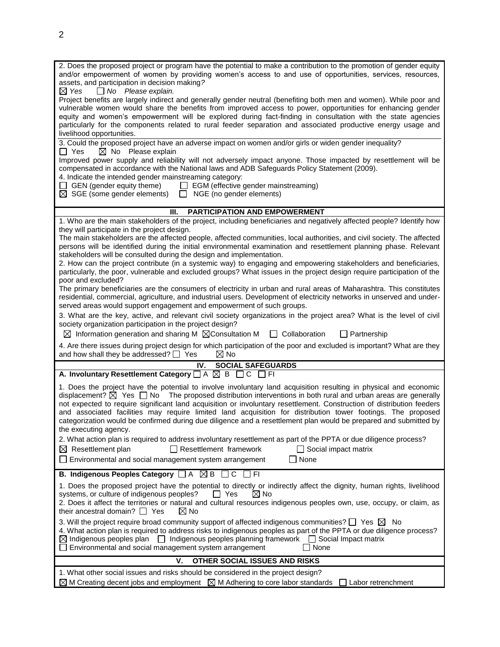| 2. Does the proposed project or program have the potential to make a contribution to the promotion of gender equity<br>and/or empowerment of women by providing women's access to and use of opportunities, services, resources,<br>assets, and participation in decision making?                                                                                                                                                                                                                                                                                                                                                        |  |  |  |
|------------------------------------------------------------------------------------------------------------------------------------------------------------------------------------------------------------------------------------------------------------------------------------------------------------------------------------------------------------------------------------------------------------------------------------------------------------------------------------------------------------------------------------------------------------------------------------------------------------------------------------------|--|--|--|
| $\Box$ No Please explain.<br>$\boxtimes$ Yes<br>Project benefits are largely indirect and generally gender neutral (benefiting both men and women). While poor and<br>vulnerable women would share the benefits from improved access to power, opportunities for enhancing gender<br>equity and women's empowerment will be explored during fact-finding in consultation with the state agencies<br>particularly for the components related to rural feeder separation and associated productive energy usage and<br>livelihood opportunities.                                                                                           |  |  |  |
| 3. Could the proposed project have an adverse impact on women and/or girls or widen gender inequality?<br>$\boxtimes$ No Please explain<br>$\Box$ Yes                                                                                                                                                                                                                                                                                                                                                                                                                                                                                    |  |  |  |
| Improved power supply and reliability will not adversely impact anyone. Those impacted by resettlement will be<br>compensated in accordance with the National laws and ADB Safeguards Policy Statement (2009).<br>4. Indicate the intended gender mainstreaming category:                                                                                                                                                                                                                                                                                                                                                                |  |  |  |
| EGM (effective gender mainstreaming)<br>$\Box$ GEN (gender equity theme)<br>$\boxtimes$ SGE (some gender elements) $\Box$ NGE (no gender elements)                                                                                                                                                                                                                                                                                                                                                                                                                                                                                       |  |  |  |
| <b>PARTICIPATION AND EMPOWERMENT</b><br>Ш.                                                                                                                                                                                                                                                                                                                                                                                                                                                                                                                                                                                               |  |  |  |
| 1. Who are the main stakeholders of the project, including beneficiaries and negatively affected people? Identify how<br>they will participate in the project design.<br>The main stakeholders are the affected people, affected communities, local authorities, and civil society. The affected<br>persons will be identified during the initial environmental examination and resettlement planning phase. Relevant                                                                                                                                                                                                                    |  |  |  |
| stakeholders will be consulted during the design and implementation.<br>2. How can the project contribute (in a systemic way) to engaging and empowering stakeholders and beneficiaries,<br>particularly, the poor, vulnerable and excluded groups? What issues in the project design require participation of the<br>poor and excluded?                                                                                                                                                                                                                                                                                                 |  |  |  |
| The primary beneficiaries are the consumers of electricity in urban and rural areas of Maharashtra. This constitutes<br>residential, commercial, agriculture, and industrial users. Development of electricity networks in unserved and under-<br>served areas would support engagement and empowerment of such groups.                                                                                                                                                                                                                                                                                                                  |  |  |  |
| 3. What are the key, active, and relevant civil society organizations in the project area? What is the level of civil<br>society organization participation in the project design?<br>$\boxtimes$ Information generation and sharing M $\boxtimes$ Consultation M<br>$\Box$ Collaboration<br>$\Box$ Partnership                                                                                                                                                                                                                                                                                                                          |  |  |  |
| 4. Are there issues during project design for which participation of the poor and excluded is important? What are they<br>and how shall they be addressed? $\Box$ Yes<br>$\boxtimes$ No                                                                                                                                                                                                                                                                                                                                                                                                                                                  |  |  |  |
| IV.<br><b>SOCIAL SAFEGUARDS</b>                                                                                                                                                                                                                                                                                                                                                                                                                                                                                                                                                                                                          |  |  |  |
| A. Involuntary Resettlement Category $\Box A \boxtimes B \Box C \Box F$                                                                                                                                                                                                                                                                                                                                                                                                                                                                                                                                                                  |  |  |  |
| 1. Does the project have the potential to involve involuntary land acquisition resulting in physical and economic<br>displacement? $\boxtimes$ Yes $\Box$ No The proposed distribution interventions in both rural and urban areas are generally<br>not expected to require significant land acquisition or involuntary resettlement. Construction of distribution feeders<br>and associated facilities may require limited land acquisition for distribution tower footings. The proposed<br>categorization would be confirmed during due diligence and a resettlement plan would be prepared and submitted by<br>the executing agency. |  |  |  |
| 2. What action plan is required to address involuntary resettlement as part of the PPTA or due diligence process?<br>$\boxtimes$ Resettlement plan<br>$\Box$ Resettlement framework<br>$\Box$ Social impact matrix<br>Environmental and social management system arrangement<br>None                                                                                                                                                                                                                                                                                                                                                     |  |  |  |
| B. Indigenous Peoples Category □ A ⊠ B □ C □ FI                                                                                                                                                                                                                                                                                                                                                                                                                                                                                                                                                                                          |  |  |  |
| 1. Does the proposed project have the potential to directly or indirectly affect the dignity, human rights, livelihood<br>systems, or culture of indigenous peoples?<br>$\boxtimes$ No<br>$\Box$ Yes<br>2. Does it affect the territories or natural and cultural resources indigenous peoples own, use, occupy, or claim, as<br>their ancestral domain? $\Box$ Yes<br>$\boxtimes$ No                                                                                                                                                                                                                                                    |  |  |  |
| 3. Will the project require broad community support of affected indigenous communities? $\square$ Yes $\square$ No                                                                                                                                                                                                                                                                                                                                                                                                                                                                                                                       |  |  |  |
| 4. What action plan is required to address risks to indigenous peoples as part of the PPTA or due diligence process?<br>$\boxtimes$ Indigenous peoples plan<br>$\Box$ Indigenous peoples planning framework $\Box$ Social Impact matrix<br>Environmental and social management system arrangement<br>□ None                                                                                                                                                                                                                                                                                                                              |  |  |  |
| v.<br>OTHER SOCIAL ISSUES AND RISKS                                                                                                                                                                                                                                                                                                                                                                                                                                                                                                                                                                                                      |  |  |  |
| 1. What other social issues and risks should be considered in the project design?<br>$\boxtimes$ M Creating decent jobs and employment $\boxtimes$ M Adhering to core labor standards $\Box$ Labor retrenchment                                                                                                                                                                                                                                                                                                                                                                                                                          |  |  |  |